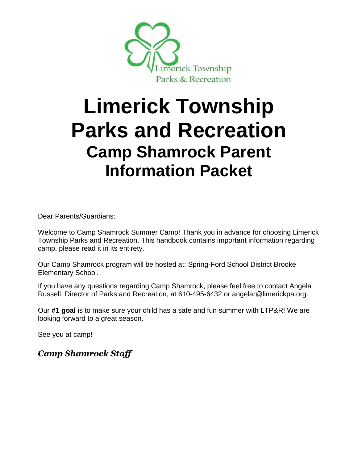

# **Limerick Township Parks and Recreation Camp Shamrock Parent Information Packet**

Dear Parents/Guardians:

Welcome to Camp Shamrock Summer Camp! Thank you in advance for choosing Limerick Township Parks and Recreation. This handbook contains important information regarding camp, please read it in its entirety.

Our Camp Shamrock program will be hosted at: Spring-Ford School District Brooke Elementary School.

If you have any questions regarding Camp Shamrock, please feel free to contact Angela Russell, Director of Parks and Recreation, at 610-495-6432 or angelar@limerickpa.org.

Our **#1 goal** is to make sure your child has a safe and fun summer with LTP&R! We are looking forward to a great season.

See you at camp!

*Camp Shamrock Staff*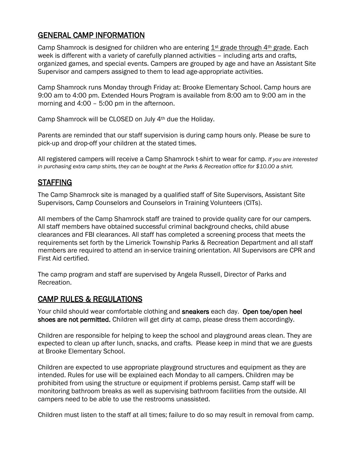# GENERAL CAMP INFORMATION

Camp Shamrock is designed for children who are entering  $1<sup>st</sup>$  grade through  $4<sup>th</sup>$  grade. Each week is different with a variety of carefully planned activities – including arts and crafts, organized games, and special events. Campers are grouped by age and have an Assistant Site Supervisor and campers assigned to them to lead age-appropriate activities.

Camp Shamrock runs Monday through Friday at: Brooke Elementary School. Camp hours are 9:00 am to 4:00 pm. Extended Hours Program is available from 8:00 am to 9:00 am in the morning and 4:00 – 5:00 pm in the afternoon.

Camp Shamrock will be CLOSED on July 4th due the Holiday.

Parents are reminded that our staff supervision is during camp hours only. Please be sure to pick-up and drop-off your children at the stated times.

All registered campers will receive a Camp Shamrock t-shirt to wear for camp. *If you are interested in purchasing extra camp shirts, they can be bought at the Parks & Recreation office for \$10.00 a shirt.* 

# STAFFING

The Camp Shamrock site is managed by a qualified staff of Site Supervisors, Assistant Site Supervisors, Camp Counselors and Counselors in Training Volunteers (CITs).

All members of the Camp Shamrock staff are trained to provide quality care for our campers. All staff members have obtained successful criminal background checks, child abuse clearances and FBI clearances. All staff has completed a screening process that meets the requirements set forth by the Limerick Township Parks & Recreation Department and all staff members are required to attend an in-service training orientation. All Supervisors are CPR and First Aid certified.

The camp program and staff are supervised by Angela Russell, Director of Parks and Recreation.

## CAMP RULES & REGULATIONS

Your child should wear comfortable clothing and sneakers each day. Open toe/open heel shoes are not permitted. Children will get dirty at camp, please dress them accordingly.

Children are responsible for helping to keep the school and playground areas clean. They are expected to clean up after lunch, snacks, and crafts. Please keep in mind that we are guests at Brooke Elementary School.

Children are expected to use appropriate playground structures and equipment as they are intended. Rules for use will be explained each Monday to all campers. Children may be prohibited from using the structure or equipment if problems persist. Camp staff will be monitoring bathroom breaks as well as supervising bathroom facilities from the outside. All campers need to be able to use the restrooms unassisted.

Children must listen to the staff at all times; failure to do so may result in removal from camp.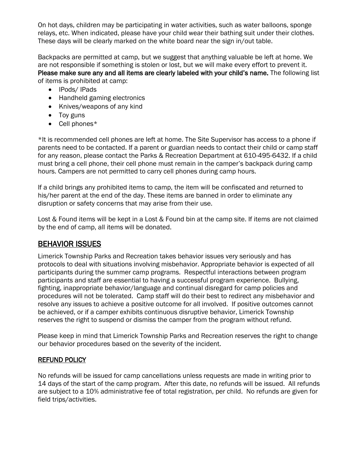On hot days, children may be participating in water activities, such as water balloons, sponge relays, etc. When indicated, please have your child wear their bathing suit under their clothes. These days will be clearly marked on the white board near the sign in/out table.

Backpacks are permitted at camp, but we suggest that anything valuable be left at home. We are not responsible if something is stolen or lost, but we will make every effort to prevent it. Please make sure any and all items are clearly labeled with your child's name. The following list of items is prohibited at camp:

- IPods/ IPads
- Handheld gaming electronics
- Knives/weapons of any kind
- Toy guns
- Cell phones\*

\*It is recommended cell phones are left at home. The Site Supervisor has access to a phone if parents need to be contacted. If a parent or guardian needs to contact their child or camp staff for any reason, please contact the Parks & Recreation Department at 610-495-6432. If a child must bring a cell phone, their cell phone must remain in the camper's backpack during camp hours. Campers are not permitted to carry cell phones during camp hours.

If a child brings any prohibited items to camp, the item will be confiscated and returned to his/her parent at the end of the day. These items are banned in order to eliminate any disruption or safety concerns that may arise from their use.

Lost & Found items will be kept in a Lost & Found bin at the camp site. If items are not claimed by the end of camp, all items will be donated.

# BEHAVIOR ISSUES

Limerick Township Parks and Recreation takes behavior issues very seriously and has protocols to deal with situations involving misbehavior. Appropriate behavior is expected of all participants during the summer camp programs. Respectful interactions between program participants and staff are essential to having a successful program experience. Bullying, fighting, inappropriate behavior/language and continual disregard for camp policies and procedures will not be tolerated. Camp staff will do their best to redirect any misbehavior and resolve any issues to achieve a positive outcome for all involved. If positive outcomes cannot be achieved, or if a camper exhibits continuous disruptive behavior, Limerick Township reserves the right to suspend or dismiss the camper from the program without refund.

Please keep in mind that Limerick Township Parks and Recreation reserves the right to change our behavior procedures based on the severity of the incident.

#### REFUND POLICY

No refunds will be issued for camp cancellations unless requests are made in writing prior to 14 days of the start of the camp program. After this date, no refunds will be issued. All refunds are subject to a 10% administrative fee of total registration, per child. No refunds are given for field trips/activities.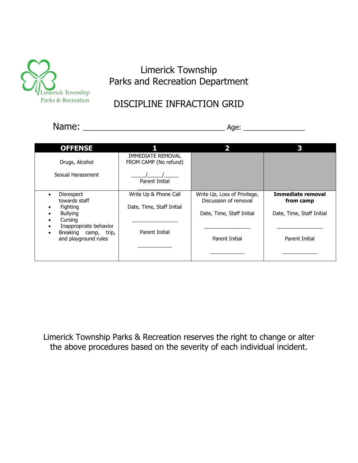

# Limerick Township Parks and Recreation Department

# DISCIPLINE INFRACTION GRID

Name: \_\_\_\_\_\_\_\_\_\_\_\_\_\_\_\_\_\_\_\_\_\_\_\_\_\_\_\_\_\_\_\_\_\_\_\_\_ Age: \_\_\_\_\_\_\_\_\_\_\_\_\_\_\_\_

| <b>OFFENSE</b>                                                                                                                                         |                                                                      | כ                                                                                                    | 2                                                                                    |
|--------------------------------------------------------------------------------------------------------------------------------------------------------|----------------------------------------------------------------------|------------------------------------------------------------------------------------------------------|--------------------------------------------------------------------------------------|
| Drugs, Alcohol<br>Sexual Harassment                                                                                                                    | <b>IMMEDIATE REMOVAL</b><br>FROM CAMP (No refund)<br>Parent Initial  |                                                                                                      |                                                                                      |
| <b>Disrespect</b><br>towards staff<br>Fighting<br><b>Bullying</b><br>Cursing<br>Inappropriate behavior<br>Breaking camp, trip,<br>and playground rules | Write Up & Phone Call<br>Date, Time, Staff Initial<br>Parent Initial | Write Up, Loss of Privilege,<br>Discussion of removal<br>Date, Time, Staff Initial<br>Parent Initial | <b>Immediate removal</b><br>from camp<br>Date, Time, Staff Initial<br>Parent Initial |

Limerick Township Parks & Recreation reserves the right to change or alter the above procedures based on the severity of each individual incident.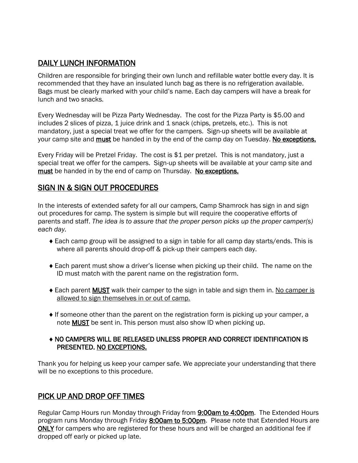# DAILY LUNCH INFORMATION

Children are responsible for bringing their own lunch and refillable water bottle every day. It is recommended that they have an insulated lunch bag as there is no refrigeration available. Bags must be clearly marked with your child's name. Each day campers will have a break for lunch and two snacks.

Every Wednesday will be Pizza Party Wednesday. The cost for the Pizza Party is \$5.00 and includes 2 slices of pizza, 1 juice drink and 1 snack (chips, pretzels, etc.). This is not mandatory, just a special treat we offer for the campers. Sign-up sheets will be available at your camp site and must be handed in by the end of the camp day on Tuesday. No exceptions.

Every Friday will be Pretzel Friday. The cost is \$1 per pretzel. This is not mandatory, just a special treat we offer for the campers. Sign-up sheets will be available at your camp site and must be handed in by the end of camp on Thursday. No exceptions.

## SIGN IN & SIGN OUT PROCEDURES

In the interests of extended safety for all our campers, Camp Shamrock has sign in and sign out procedures for camp. The system is simple but will require the cooperative efforts of parents and staff. *The idea is to assure that the proper person picks up the proper camper(s) each day.*

- Each camp group will be assigned to a sign in table for all camp day starts/ends. This is where all parents should drop-off & pick-up their campers each day.
- Each parent must show a driver's license when picking up their child. The name on the ID must match with the parent name on the registration form.
- ◆ Each parent MUST walk their camper to the sign in table and sign them in. No camper is allowed to sign themselves in or out of camp.
- If someone other than the parent on the registration form is picking up your camper, a note MUST be sent in. This person must also show ID when picking up.

#### NO CAMPERS WILL BE RELEASED UNLESS PROPER AND CORRECT IDENTIFICATION IS PRESENTED. NO EXCEPTIONS.

Thank you for helping us keep your camper safe. We appreciate your understanding that there will be no exceptions to this procedure.

# PICK UP AND DROP OFF TIMES

Regular Camp Hours run Monday through Friday from **9:00am to 4:00pm**. The Extended Hours program runs Monday through Friday 8:00am to 5:00pm. Please note that Extended Hours are ONLY for campers who are registered for these hours and will be charged an additional fee if dropped off early or picked up late.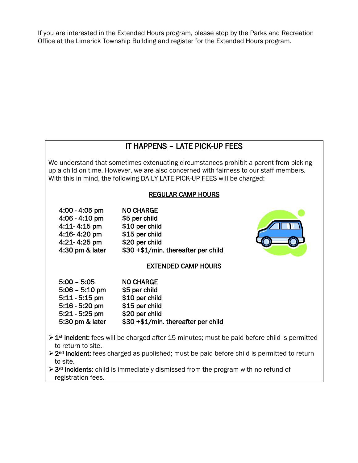If you are interested in the Extended Hours program, please stop by the Parks and Recreation Office at the Limerick Township Building and register for the Extended Hours program.

# IT HAPPENS – LATE PICK-UP FEES

We understand that sometimes extenuating circumstances prohibit a parent from picking up a child on time. However, we are also concerned with fairness to our staff members. With this in mind, the following DAILY LATE PICK-UP FEES will be charged:

#### REGULAR CAMP HOURS

| $4:00 - 4:05$ pm | <b>NO CHARGE</b>                    |
|------------------|-------------------------------------|
| 4:06 - 4:10 pm   | \$5 per child                       |
| 4:11-4:15 pm     | \$10 per child                      |
| 4:16-4:20 pm     | \$15 per child                      |
| 4:21-4:25 pm     | \$20 per child                      |
| 4:30 pm & later  | \$30 +\$1/min. thereafter per child |
|                  |                                     |

# EXTENDED CAMP HOURS

| $5:00 - 5:05$    | <b>NO CHARGE</b>                    |
|------------------|-------------------------------------|
| $5:06 - 5:10$ pm | \$5 per child                       |
| $5:11 - 5:15$ pm | \$10 per child                      |
| $5:16 - 5:20$ pm | \$15 per child                      |
| $5:21 - 5:25$ pm | \$20 per child                      |
| 5:30 pm & later  | \$30 +\$1/min. thereafter per child |

- > 1<sup>st</sup> incident: fees will be charged after 15 minutes; must be paid before child is permitted to return to site.
- ➢2nd incident: fees charged as published; must be paid before child is permitted to return to site.

➢3rd incidents: child is immediately dismissed from the program with no refund of registration fees.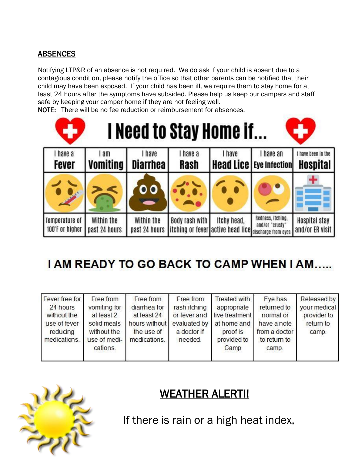# **ABSENCES**

Notifying LTP&R of an absence is not required. We do ask if your child is absent due to a contagious condition, please notify the office so that other parents can be notified that their child may have been exposed. If your child has been ill, we require them to stay home for at least 24 hours after the symptoms have subsided. Please help us keep our campers and staff safe by keeping your camper home if they are not feeling well.

NOTE: There will be no fee reduction or reimbursement for absences.

| 5                     |                 |                         |                | I Need to Stay Home if                                |                   |                      |
|-----------------------|-----------------|-------------------------|----------------|-------------------------------------------------------|-------------------|----------------------|
| I have a              | l am            | I have                  | I have a       | I have                                                | I have an         | have been in the     |
| <b>Fever</b>          | <b>Vomiting</b> | <b>Diarrhea</b>         | Rash           | Head Lice   Eye Infection                             |                   | Hospital             |
|                       |                 | $\overline{\mathbf{o}}$ |                |                                                       |                   |                      |
| <b>Temperature of</b> | Within the      | Within the              | Body rash with | Itchy head,                                           | Redness, Itching, | <b>Hospital stay</b> |
| 100°F or higher       | past 24 hours   | past 24 hours           |                | itching or fever active head lice discharge from eyes | and/or "crusty"   | and/or ER visit      |

# **I AM READY TO GO BACK TO CAMP WHEN I AM.....**

| Fever free for | Free from    | Free from     | Free from    | <b>Treated with</b> | Eye has       | Released by  |
|----------------|--------------|---------------|--------------|---------------------|---------------|--------------|
| 24 hours       | vomiting for | diarrhea for  | rash itching | appropriate         | returned to   | your medical |
| without the    | at least 2   | at least 24   | or fever and | live treatment      | normal or     | provider to  |
| use of fever   | solid meals  | hours without | evaluated by | at home and         | have a note   | return to    |
| reducing       | without the  | the use of    | a doctor if  | proof is            | from a doctor | camp.        |
| medications.   | use of medi- | medications.  | needed.      | provided to         | to return to  |              |
|                | cations.     |               |              | Camp                | camp.         |              |
|                |              |               |              |                     |               |              |



# WEATHER ALERT!!

If there is rain or a high heat index,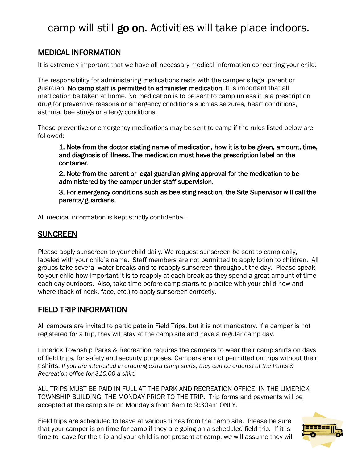# camp will still go on. Activities will take place indoors.

# MEDICAL INFORMATION

It is extremely important that we have all necessary medical information concerning your child.

The responsibility for administering medications rests with the camper's legal parent or guardian. No camp staff is permitted to administer medication. It is important that all medication be taken at home. No medication is to be sent to camp unless it is a prescription drug for preventive reasons or emergency conditions such as seizures, heart conditions, asthma, bee stings or allergy conditions.

These preventive or emergency medications may be sent to camp if the rules listed below are followed:

 1. Note from the doctor stating name of medication, how it is to be given, amount, time, and diagnosis of illness. The medication must have the prescription label on the container.

 2. Note from the parent or legal guardian giving approval for the medication to be administered by the camper under staff supervision.

 3. For emergency conditions such as bee sting reaction, the Site Supervisor will call the parents/guardians.

All medical information is kept strictly confidential.

## SUNCREEN

Please apply sunscreen to your child daily. We request sunscreen be sent to camp daily, labeled with your child's name. Staff members are not permitted to apply lotion to children. All groups take several water breaks and to reapply sunscreen throughout the day. Please speak to your child how important it is to reapply at each break as they spend a great amount of time each day outdoors. Also, take time before camp starts to practice with your child how and where (back of neck, face, etc.) to apply sunscreen correctly.

## FIELD TRIP INFORMATION

All campers are invited to participate in Field Trips, but it is not mandatory. If a camper is not registered for a trip, they will stay at the camp site and have a regular camp day.

Limerick Township Parks & Recreation requires the campers to wear their camp shirts on days of field trips, for safety and security purposes. Campers are not permitted on trips without their t-shirts. *If you are interested in ordering extra camp shirts, they can be ordered at the Parks & Recreation office for \$10.00 a shirt.* 

ALL TRIPS MUST BE PAID IN FULL AT THE PARK AND RECREATION OFFICE, IN THE LIMERICK TOWNSHIP BUILDING, THE MONDAY PRIOR TO THE TRIP. Trip forms and payments will be accepted at the camp site on Monday's from 8am to 9:30am ONLY.

Field trips are scheduled to leave at various times from the camp site. Please be sure that your camper is on time for camp if they are going on a scheduled field trip. If it is time to leave for the trip and your child is not present at camp, we will assume they will